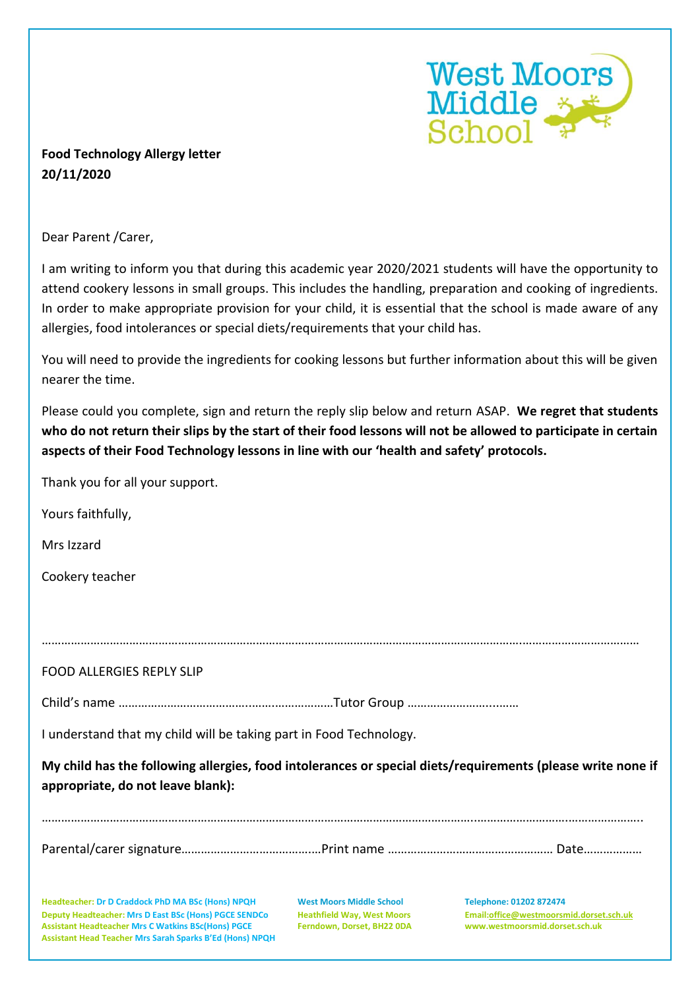

## **Food Technology Allergy letter 20/11/2020**

Dear Parent /Carer,

I am writing to inform you that during this academic year 2020/2021 students will have the opportunity to attend cookery lessons in small groups. This includes the handling, preparation and cooking of ingredients. In order to make appropriate provision for your child, it is essential that the school is made aware of any allergies, food intolerances or special diets/requirements that your child has.

You will need to provide the ingredients for cooking lessons but further information about this will be given nearer the time.

Please could you complete, sign and return the reply slip below and return ASAP. **We regret that students who do not return their slips by the start of their food lessons will not be allowed to participate in certain aspects of their Food Technology lessons in line with our 'health and safety' protocols.**

Thank you for all your support.

| Yours faithfully,                                                                                                                                                                                                                   |                                                                                                    |                                                                                                      |
|-------------------------------------------------------------------------------------------------------------------------------------------------------------------------------------------------------------------------------------|----------------------------------------------------------------------------------------------------|------------------------------------------------------------------------------------------------------|
| Mrs Izzard                                                                                                                                                                                                                          |                                                                                                    |                                                                                                      |
| Cookery teacher                                                                                                                                                                                                                     |                                                                                                    |                                                                                                      |
|                                                                                                                                                                                                                                     |                                                                                                    |                                                                                                      |
|                                                                                                                                                                                                                                     |                                                                                                    |                                                                                                      |
| <b>FOOD ALLERGIES REPLY SLIP</b>                                                                                                                                                                                                    |                                                                                                    |                                                                                                      |
|                                                                                                                                                                                                                                     |                                                                                                    |                                                                                                      |
| I understand that my child will be taking part in Food Technology.                                                                                                                                                                  |                                                                                                    |                                                                                                      |
| My child has the following allergies, food intolerances or special diets/requirements (please write none if<br>appropriate, do not leave blank):                                                                                    |                                                                                                    |                                                                                                      |
|                                                                                                                                                                                                                                     |                                                                                                    |                                                                                                      |
| Headteacher: Dr D Craddock PhD MA BSc (Hons) NPQH<br>Deputy Headteacher: Mrs D East BSc (Hons) PGCE SENDCo<br><b>Assistant Headteacher Mrs C Watkins BSc(Hons) PGCE</b><br>Assistant Head Teacher Mrs Sarah Sparks B'Ed (Hons) NPQH | <b>West Moors Middle School</b><br><b>Heathfield Way, West Moors</b><br>Ferndown, Dorset, BH22 0DA | Telephone: 01202 872474<br>Email:office@westmoorsmid.dorset.sch.uk<br>www.westmoorsmid.dorset.sch.uk |